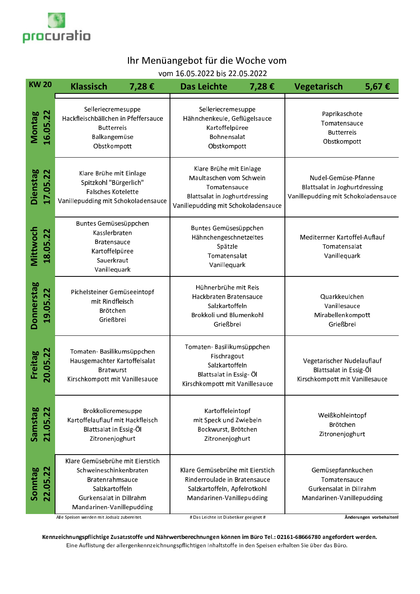

## Ihr Menüangebot für die Woche vom

vom 16.05.2022 bis 22.05.2022

| <b>KW 20</b>              |          | <b>Klassisch</b><br>7,28€                                                                                                                              |  | <b>Das Leichte</b>                                                                                                                         | 7,28€ | <b>Vegetarisch</b>                                                                          | 5,67€ |
|---------------------------|----------|--------------------------------------------------------------------------------------------------------------------------------------------------------|--|--------------------------------------------------------------------------------------------------------------------------------------------|-------|---------------------------------------------------------------------------------------------|-------|
| <b>Montag</b><br>16.05.22 |          | Selleriecremesuppe<br>Hackfleischbällchen in Pfeffersauce<br><b>Butterreis</b><br>Balkangemüse<br>Obstkompott                                          |  | Selleriecremesuppe<br>Hähnchenkeule, Geflügelsauce<br>Kartoffelpüree<br>Bohnensalat<br>Obstkompott                                         |       | Paprikaschote<br>Tomatensauce<br><b>Butterre</b> is<br>Obstkompott                          |       |
| Dienstag<br>17.05.22      |          | Klare Brühe mit Einlage<br>Spitzkohl "Bürgerlich"<br><b>Falsches Kotelette</b><br>Vanillepudding mit Schokoladensauce                                  |  | Klare Brühe mit Einlage<br>Maultaschen vom Schwein<br>Tomatensauce<br>Blattsalat in Joghurtdressing<br>Vanillepudding mit Schokoladensauce |       | Nudel-Gemüse-Pfanne<br>Blattsalat in Joghurtdressing<br>Vanillepudding mit Schokoladensauce |       |
| Mittwoch                  | 18.05.22 | Buntes Gemüsesüppchen<br>Kasslerbraten<br><b>Bratensauce</b><br>Kartoffelpüree<br>Sauerkraut<br>Vanillequark                                           |  | Buntes Gemüsesüppchen<br>Hähnchengeschnetzeltes<br>Spätzle<br>Tomatensalat<br>Vanillequark                                                 |       | Mediterrner Kartoffel-Auflauf<br>Tomatensalat<br>Vanillequark                               |       |
| Donnerstag                | 19.05.22 | Pichelsteiner Gemüseeintopf<br>mit Rindfleisch<br>Brötchen<br>Grießbrei                                                                                |  | Hühnerbrühe mit Reis<br>Hackbraten Bratensauce<br>Salzkartoffeln<br>Brokkoli und Blumenkohl<br>Grießbrei                                   |       | Quarkkeulchen<br>Vanillesauce<br>Mirabellenkompott<br>Grießbrei                             |       |
| Freitag<br>20.05.22       |          | Tomaten-Basilikumsüppchen<br>Hausgemachter Kartoffelsalat<br><b>Bratwurst</b><br>Kirschkompott mit Vanillesauce                                        |  | Tomaten-Basilikumsüppchen<br>Fischragout<br>Salzkartoffeln<br>Blattsalat in Essig- Öl<br>Kirschkompott mit Vanillesauce                    |       | Vegetarischer Nudelauflauf<br>Blattsalat in Essig-Öl<br>Kirschkompott mit Vanillesauce      |       |
| Samstag                   | 21.05.2  | Brokkolicremesuppe<br>Kartoffelauflauf mit Hackfleisch<br>Blattsalat in Essig-Öl<br>Zitronenjoghurt                                                    |  | Kartoffeleintopf<br>mit Speck und Zwiebeln<br>Bockwurst, Brötchen<br>Zitronenjoghurt                                                       |       | Weißkohleintopf<br>Brötchen<br>Zitronenjoghurt                                              |       |
| Sonntag                   | 22.05.22 | Klare Gemüsebrühe mit Eierstich<br>Schweineschinkenbraten<br>Bratenrahmsauce<br>Salzkartoffeln<br>Gurkensalat in Dillrahm<br>Mandarinen-Vanillepudding |  | Klare Gemüsebrühe mit Eierstich<br>Rinderroulade in Bratensauce<br>Salzkartoffeln, Apfelrotkohl<br>Mandarinen-Vanillepudding               |       | Gemüsepfannkuchen<br>Tomatensauce<br>Gurkensalat in Dillrahm<br>Mandarinen-Vanillepudding   |       |

Alle Speisen werden mit Jodsalz zubereitet.

# Das Leichte ist Diabetiker geeignet #

Änderungen vorbehalten!

Kennzeichnungspflichtige Zusatzstoffe und Nährwertberechnungen können im Büro Tel.: 02161-68666780 angefordert werden. Eine Auflistung der allergenkennzeichnungspflichtigen Inhaltstoffe in den Speisen erhalten Sie über das Büro.